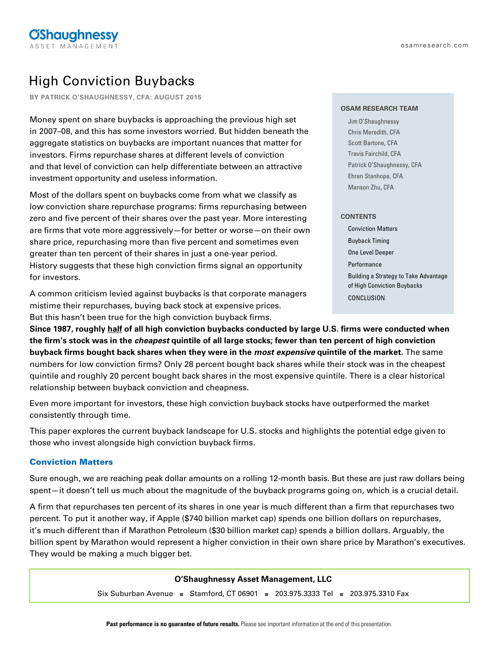# High Conviction Buybacks

**BY PATRICK O'SHAUGHNESSY, CFA: AUGUST 2015**

Money spent on share buybacks is approaching the previous high set in 2007–08, and this has some investors worried. But hidden beneath the aggregate statistics on buybacks are important nuances that matter for investors. Firms repurchase shares at different levels of conviction and that level of conviction can help differentiate between an attractive investment opportunity and useless information.

Most of the dollars spent on buybacks come from what we classify as low conviction share repurchase programs: firms repurchasing between zero and five percent of their shares over the past year. More interesting are firms that vote more aggressively—for better or worse—on their own share price, repurchasing more than five percent and sometimes even greater than ten percent of their shares in just a one-year period. History suggests that these high conviction firms signal an opportunity for investors.

A common criticism levied against buybacks is that corporate managers mistime their repurchases, buying back stock at expensive prices. But this hasn't been true for the high conviction buyback firms.

### **OSAM RESEARCH TEAM**

Jim O'Shaughnessy Chris Meredith, CFA Scott Bartone, CFA Travis Fairchild, CFA Patrick O'Shaughnessy, CFA Ehren Stanhope, CFA Manson Zhu, CFA

## **CONTENTS**

Conviction Matters Buyback Timing One Level Deeper Performance Building a Strategy to Take Advantage of High Conviction Buybacks CONCLUSION

**Since 1987, roughly half of all high conviction buybacks conducted by large U.S. firms were conducted when the firm's stock was in the cheapest quintile of all large stocks; fewer than ten percent of high conviction buyback firms bought back shares when they were in the most expensive quintile of the market.** The same numbers for low conviction firms? Only 28 percent bought back shares while their stock was in the cheapest quintile and roughly 20 percent bought back shares in the most expensive quintile. There is a clear historical relationship between buyback conviction and cheapness.

Even more important for investors, these high conviction buyback stocks have outperformed the market consistently through time.

This paper explores the current buyback landscape for U.S. stocks and highlights the potential edge given to those who invest alongside high conviction buyback firms.

# Conviction Matters

Sure enough, we are reaching peak dollar amounts on a rolling 12-month basis. But these are just raw dollars being spent—it doesn't tell us much about the magnitude of the buyback programs going on, which is a crucial detail.

A firm that repurchases ten percent of its shares in one year is much different than a firm that repurchases two percent. To put it another way, if Apple (\$740 billion market cap) spends one billion dollars on repurchases, it's much different than if Marathon Petroleum (\$30 billion market cap) spends a billion dollars. Arguably, the billion spent by Marathon would represent a higher conviction in their own share price by Marathon's executives. They would be making a much bigger bet.

| O'Shaughnessy Asset Management, LLC |                                                                            |  |  |  |  |  |
|-------------------------------------|----------------------------------------------------------------------------|--|--|--|--|--|
|                                     | Six Suburban Avenue B Stamford, CT 06901 203.975.3333 Tel 203.975.3310 Fax |  |  |  |  |  |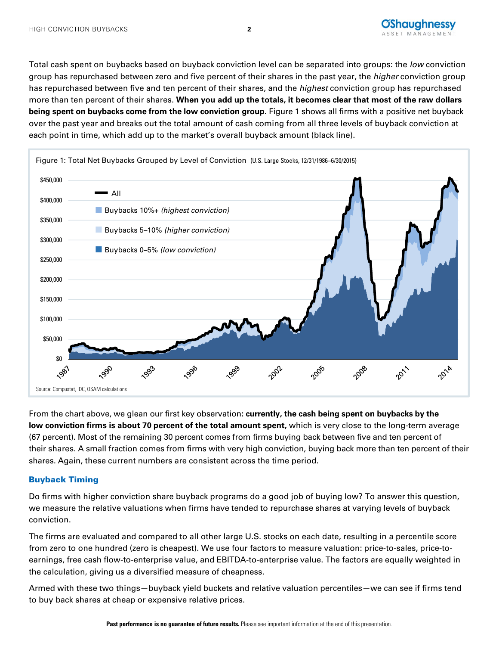

Total cash spent on buybacks based on buyback conviction level can be separated into groups: the low conviction group has repurchased between zero and five percent of their shares in the past year, the *higher* conviction group has repurchased between five and ten percent of their shares, and the highest conviction group has repurchased more than ten percent of their shares. **When you add up the totals, it becomes clear that most of the raw dollars being spent on buybacks come from the low conviction group.** Figure 1 shows all firms with a positive net buyback over the past year and breaks out the total amount of cash coming from all three levels of buyback conviction at each point in time, which add up to the market's overall buyback amount (black line).



From the chart above, we glean our first key observation**: currently, the cash being spent on buybacks by the low conviction firms is about 70 percent of the total amount spent,** which is very close to the long-term average (67 percent). Most of the remaining 30 percent comes from firms buying back between five and ten percent of their shares. A small fraction comes from firms with very high conviction, buying back more than ten percent of their shares. Again, these current numbers are consistent across the time period.

# Buyback Timing

Do firms with higher conviction share buyback programs do a good job of buying low? To answer this question, we measure the relative valuations when firms have tended to repurchase shares at varying levels of buyback conviction.

The firms are evaluated and compared to all other large U.S. stocks on each date, resulting in a percentile score from zero to one hundred (zero is cheapest). We use four factors to measure valuation: price-to-sales, price-toearnings, free cash flow-to-enterprise value, and EBITDA-to-enterprise value. The factors are equally weighted in the calculation, giving us a diversified measure of cheapness.

Armed with these two things—buyback yield buckets and relative valuation percentiles—we can see if firms tend to buy back shares at cheap or expensive relative prices.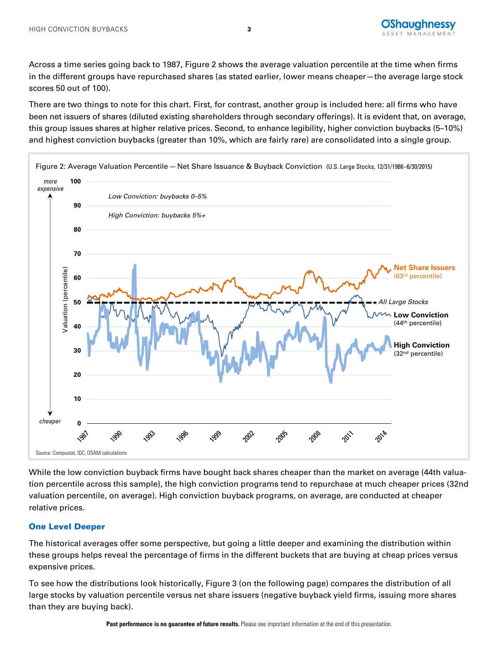

Across a time series going back to 1987, Figure 2 shows the average valuation percentile at the time when firms in the different groups have repurchased shares (as stated earlier, lower means cheaper—the average large stock scores 50 out of 100).

There are two things to note for this chart. First, for contrast, another group is included here: all firms who have been net issuers of shares (diluted existing shareholders through secondary offerings). It is evident that, on average, this group issues shares at higher relative prices. Second, to enhance legibility, higher conviction buybacks (5–10%) and highest conviction buybacks (greater than 10%, which are fairly rare) are consolidated into a single group.



While the low conviction buyback firms have bought back shares cheaper than the market on average (44th valuation percentile across this sample), the high conviction programs tend to repurchase at much cheaper prices (32nd valuation percentile, on average). High conviction buyback programs, on average, are conducted at cheaper relative prices.

# One Level Deeper

The historical averages offer some perspective, but going a little deeper and examining the distribution within these groups helps reveal the percentage of firms in the different buckets that are buying at cheap prices versus expensive prices.

To see how the distributions look historically, Figure 3 (on the following page) compares the distribution of all large stocks by valuation percentile versus net share issuers (negative buyback yield firms, issuing more shares than they are buying back).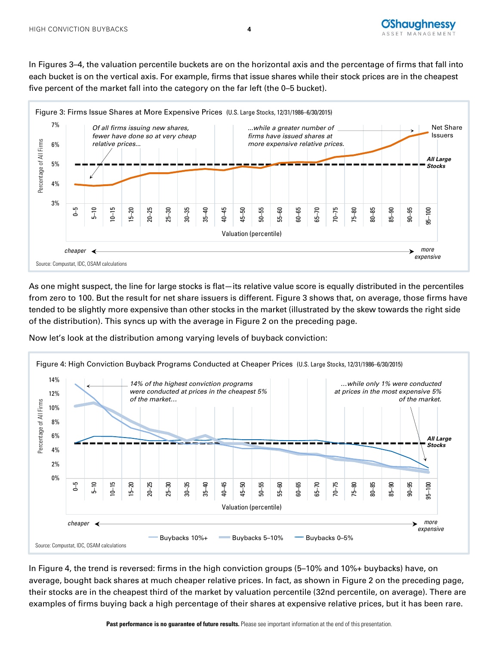

In Figures 3–4, the valuation percentile buckets are on the horizontal axis and the percentage of firms that fall into each bucket is on the vertical axis. For example, firms that issue shares while their stock prices are in the cheapest five percent of the market fall into the category on the far left (the 0–5 bucket).



As one might suspect, the line for large stocks is flat—its relative value score is equally distributed in the percentiles from zero to 100. But the result for net share issuers is different. Figure 3 shows that, on average, those firms have tended to be slightly more expensive than other stocks in the market (illustrated by the skew towards the right side of the distribution). This syncs up with the average in Figure 2 on the preceding page.

Now let's look at the distribution among varying levels of buyback conviction:



In Figure 4, the trend is reversed: firms in the high conviction groups (5–10% and 10%+ buybacks) have, on average, bought back shares at much cheaper relative prices. In fact, as shown in Figure 2 on the preceding page, their stocks are in the cheapest third of the market by valuation percentile (32nd percentile, on average). There are examples of firms buying back a high percentage of their shares at expensive relative prices, but it has been rare.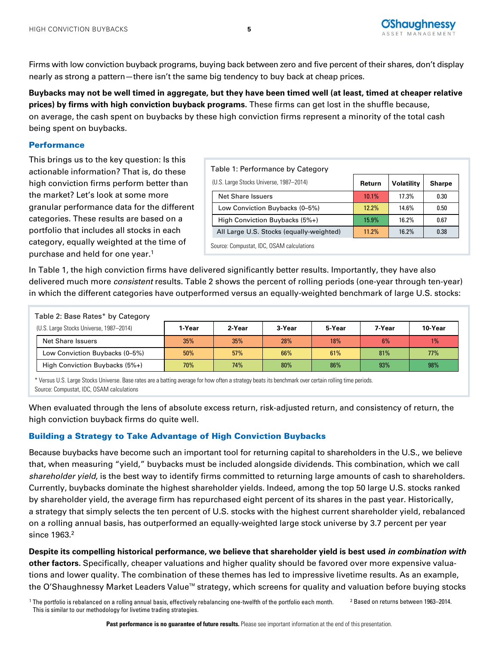

Firms with low conviction buyback programs, buying back between zero and five percent of their shares, don't display nearly as strong a pattern—there isn't the same big tendency to buy back at cheap prices.

**Buybacks may not be well timed in aggregate, but they have been timed well (at least, timed at cheaper relative prices) by firms with high conviction buyback programs.** These firms can get lost in the shuffle because, on average, the cash spent on buybacks by these high conviction firms represent a minority of the total cash being spent on buybacks.

## **Performance**

This brings us to the key question: Is this actionable information? That is, do these high conviction firms perform better than the market? Let's look at some more granular performance data for the different categories. These results are based on a portfolio that includes all stocks in each category, equally weighted at the time of purchase and held for one year.1

| Table 1: Performance by Category          |        |                   |               |  |  |  |  |
|-------------------------------------------|--------|-------------------|---------------|--|--|--|--|
| (U.S. Large Stocks Universe, 1987-2014)   | Return | <b>Volatility</b> | <b>Sharpe</b> |  |  |  |  |
| <b>Net Share Issuers</b>                  | 10.1%  | 17.3%             | 0.30          |  |  |  |  |
| Low Conviction Buybacks (0-5%)            | 12.2%  | 14.6%             | 0.50          |  |  |  |  |
| High Conviction Buybacks (5%+)            | 15.9%  | 16.2%             | 0.67          |  |  |  |  |
| All Large U.S. Stocks (equally-weighted)  | 11.2%  | 16.2%             | 0.38          |  |  |  |  |
| Source: Compustat, IDC, OSAM calculations |        |                   |               |  |  |  |  |

In Table 1, the high conviction firms have delivered significantly better results. Importantly, they have also delivered much more *consistent* results. Table 2 shows the percent of rolling periods (one-year through ten-year) in which the different categories have outperformed versus an equally-weighted benchmark of large U.S. stocks:

| Table 2: Base Rates* by Category        |        |        |        |        |        |         |
|-----------------------------------------|--------|--------|--------|--------|--------|---------|
| (U.S. Large Stocks Universe, 1987-2014) | 1-Year | 2-Year | 3-Year | 5-Year | 7-Year | 10-Year |
| Net Share Issuers                       | 35%    | 35%    | 28%    | 18%    | 6%     | 1%      |
| Low Conviction Buybacks (0-5%)          | 50%    | 57%    | 66%    | 61%    | 81%    | 77%     |
| High Conviction Buybacks (5%+)          | 70%    | 74%    | 80%    | 86%    | 93%    | 98%     |

\* Versus U.S. Large Stocks Universe. Base rates are a batting average for how often a strategy beats its benchmark over certain rolling time periods. Source: Compustat, IDC, OSAM calculations

When evaluated through the lens of absolute excess return, risk-adjusted return, and consistency of return, the high conviction buyback firms do quite well.

# Building a Strategy to Take Advantage of High Conviction Buybacks

Because buybacks have become such an important tool for returning capital to shareholders in the U.S., we believe that, when measuring "yield," buybacks must be included alongside dividends. This combination, which we call shareholder yield, is the best way to identify firms committed to returning large amounts of cash to shareholders. Currently, buybacks dominate the highest shareholder yields. Indeed, among the top 50 large U.S. stocks ranked by shareholder yield, the average firm has repurchased eight percent of its shares in the past year. Historically, a strategy that simply selects the ten percent of U.S. stocks with the highest current shareholder yield, rebalanced on a rolling annual basis, has outperformed an equally-weighted large stock universe by 3.7 percent per year since 1963.<sup>2</sup>

**Despite its compelling historical performance, we believe that shareholder yield is best used in combination with other factors.** Specifically, cheaper valuations and higher quality should be favored over more expensive valuations and lower quality. The combination of these themes has led to impressive livetime results. As an example, the O'Shaughnessy Market Leaders Value™ strategy, which screens for quality and valuation before buying stocks

<sup>1</sup> The portfolio is rebalanced on a rolling annual basis, effectively rebalancing one-twelfth of the portfolio each month. This is similar to our methodology for livetime trading strategies. <sup>2</sup> Based on returns between 1963–2014.